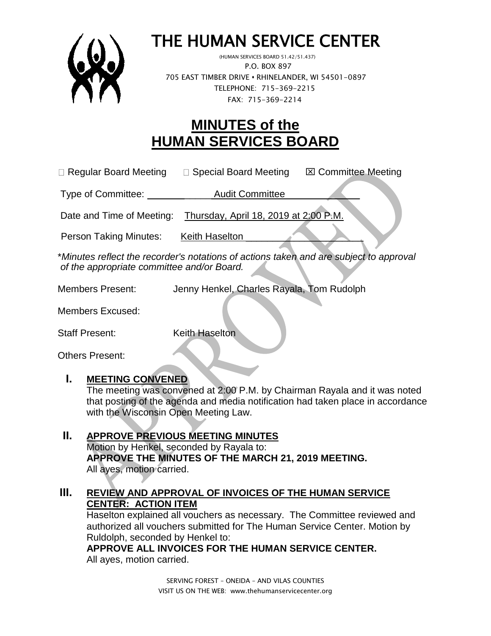

# THE HUMAN SERVICE CENTER

 (HUMAN SERVICES BOARD 51.42/51.437) P.O. BOX 897 705 EAST TIMBER DRIVE **•** RHINELANDER, WI 54501-0897 TELEPHONE: 715-369-2215 FAX: 715-369-2214

# **MINUTES of the HUMAN SERVICES BOARD**

 $\Box$  Regular Board Meeting  $\Box$  Special Board Meeting  $\Box$  Committee Meeting

Type of Committee: Type of Committee:

Date and Time of Meeting: Thursday, April 18, 2019 at 2:00 P.M.

Person Taking Minutes: Keith Haselton

\**Minutes reflect the recorder's notations of actions taken and are subject to approval of the appropriate committee and/or Board.*

Members Present: Jenny Henkel, Charles Rayala, Tom Rudolph

Members Excused:

Staff Present: Keith Haselton

Others Present:

#### **I. MEETING CONVENED**

The meeting was convened at 2:00 P.M. by Chairman Rayala and it was noted that posting of the agenda and media notification had taken place in accordance with the Wisconsin Open Meeting Law.

**II. APPROVE PREVIOUS MEETING MINUTES**  Motion by Henkel, seconded by Rayala to: **APPROVE THE MINUTES OF THE MARCH 21, 2019 MEETING.**  All ayes, motion carried.

#### **III. REVIEW AND APPROVAL OF INVOICES OF THE HUMAN SERVICE CENTER: ACTION ITEM**

Haselton explained all vouchers as necessary. The Committee reviewed and authorized all vouchers submitted for The Human Service Center. Motion by Ruldolph, seconded by Henkel to:

**APPROVE ALL INVOICES FOR THE HUMAN SERVICE CENTER.** All ayes, motion carried.